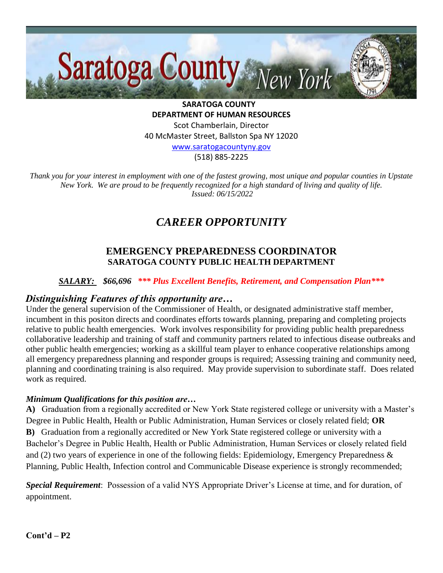

**SARATOGA COUNTY DEPARTMENT OF HUMAN RESOURCES** Scot Chamberlain, Director 40 McMaster Street, Ballston Spa NY 12020 [www.saratogacountyny.gov](http://www.saratogacountyny.gov/)

(518) 885-2225

*Thank you for your interest in employment with one of the fastest growing, most unique and popular counties in Upstate New York. We are proud to be frequently recognized for a high standard of living and quality of life. Issued: 06/15/2022* 

# *CAREER OPPORTUNITY*

### **EMERGENCY PREPAREDNESS COORDINATOR SARATOGA COUNTY PUBLIC HEALTH DEPARTMENT**

#### *SALARY: \$66,696 \*\*\* Plus Excellent Benefits, Retirement, and Compensation Plan\*\*\**

#### *Distinguishing Features of this opportunity are…*

Under the general supervision of the Commissioner of Health, or designated administrative staff member, incumbent in this positon directs and coordinates efforts towards planning, preparing and completing projects relative to public health emergencies. Work involves responsibility for providing public health preparedness collaborative leadership and training of staff and community partners related to infectious disease outbreaks and other public health emergencies; working as a skillful team player to enhance cooperative relationships among all emergency preparedness planning and responder groups is required; Assessing training and community need, planning and coordinating training is also required. May provide supervision to subordinate staff. Does related work as required.

#### *Minimum Qualifications for this position are…*

**A)** Graduation from a regionally accredited or New York State registered college or university with a Master's Degree in Public Health, Health or Public Administration, Human Services or closely related field; **OR B)** Graduation from a regionally accredited or New York State registered college or university with a Bachelor's Degree in Public Health, Health or Public Administration, Human Services or closely related field and (2) two years of experience in one of the following fields: Epidemiology, Emergency Preparedness & Planning, Public Health, Infection control and Communicable Disease experience is strongly recommended;

*Special Requirement*: Possession of a valid NYS Appropriate Driver's License at time, and for duration, of appointment.